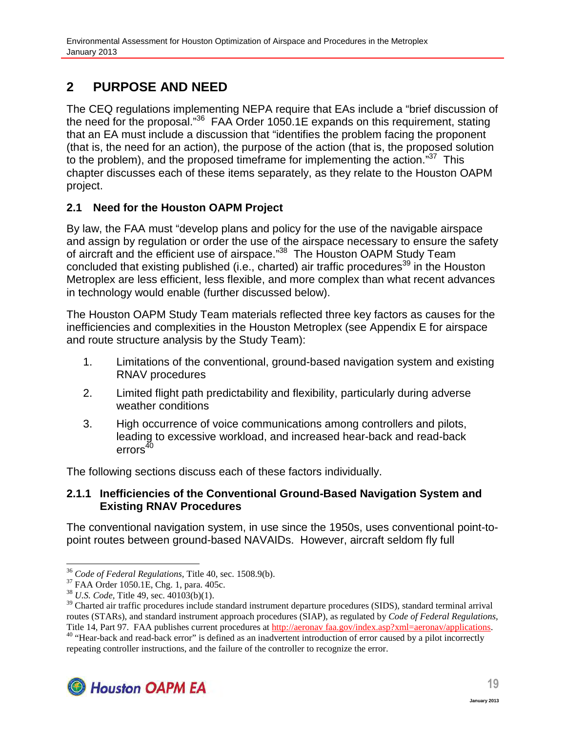# **2 PURPOSE AND NEED**

The CEQ regulations implementing NEPA require that EAs include a "brief discussion of the need for the proposal."<sup>36</sup> FAA Order 1050.1E expands on this requirement, stating that an EA must include a discussion that "identifies the problem facing the proponent (that is, the need for an action), the purpose of the action (that is, the proposed solution to the problem), and the proposed timeframe for implementing the action. $37$  This chapter discusses each of these items separately, as they relate to the Houston OAPM project.

## **2.1 Need for the Houston OAPM Project**

By law, the FAA must "develop plans and policy for the use of the navigable airspace and assign by regulation or order the use of the airspace necessary to ensure the safety of aircraft and the efficient use of airspace."<sup>38</sup> The Houston OAPM Study Team concluded that existing published (i.e., charted) air traffic procedures<sup>39</sup> in the Houston Metroplex are less efficient, less flexible, and more complex than what recent advances in technology would enable (further discussed below).

The Houston OAPM Study Team materials reflected three key factors as causes for the inefficiencies and complexities in the Houston Metroplex (see Appendix E for airspace and route structure analysis by the Study Team):

- 1. Limitations of the conventional, ground-based navigation system and existing RNAV procedures
- 2. Limited flight path predictability and flexibility, particularly during adverse weather conditions
- 3. High occurrence of voice communications among controllers and pilots, leading to excessive workload, and increased hear-back and read-back  $\arccos^{40}$

The following sections discuss each of these factors individually.

#### **2.1.1 Inefficiencies of the Conventional Ground-Based Navigation System and Existing RNAV Procedures**

The conventional navigation system, in use since the 1950s, uses conventional point-topoint routes between ground-based NAVAIDs. However, aircraft seldom fly full

<sup>&</sup>lt;sup>40</sup> "Hear-back and read-back error" is defined as an inadvertent introduction of error caused by a pilot incorrectly repeating controller instructions, and the failure of the controller to recognize the error.



<sup>36</sup> *Code of Federal Regulations,* Title 40, sec. 1508.9(b).

<sup>37</sup> FAA Order 1050.1E, Chg. 1, para. 405c.

<sup>38</sup> *U.S. Code,* Title 49, sec. 40103(b)(1).

<sup>&</sup>lt;sup>39</sup> Charted air traffic procedures include standard instrument departure procedures (SIDS), standard terminal arrival routes (STARs), and standard instrument approach procedures (SIAP), as regulated by *Code of Federal Regulations,* Title 14, Part 97. FAA publishes current procedures at http://aeronav faa.gov/index.asp?xml=aeronav/applications.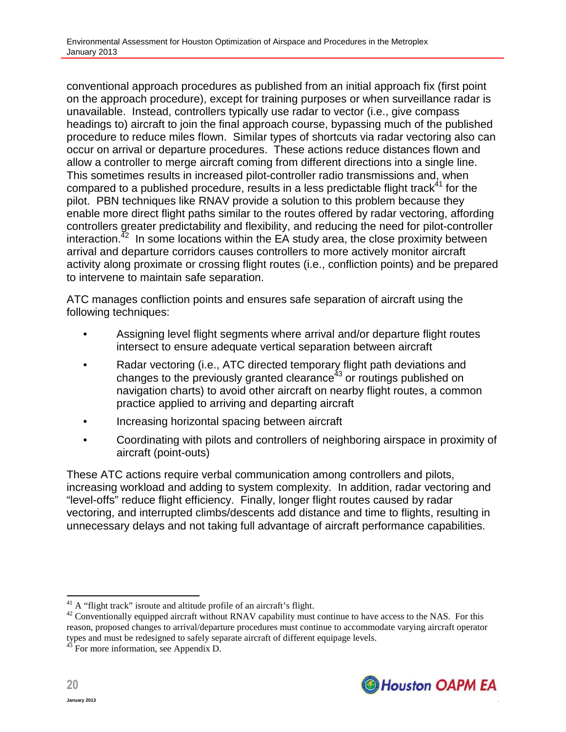conventional approach procedures as published from an initial approach fix (first point on the approach procedure), except for training purposes or when surveillance radar is unavailable. Instead, controllers typically use radar to vector (i.e., give compass headings to) aircraft to join the final approach course, bypassing much of the published procedure to reduce miles flown. Similar types of shortcuts via radar vectoring also can occur on arrival or departure procedures. These actions reduce distances flown and allow a controller to merge aircraft coming from different directions into a single line. This sometimes results in increased pilot-controller radio transmissions and, when compared to a published procedure, results in a less predictable flight track $41$  for the pilot. PBN techniques like RNAV provide a solution to this problem because they enable more direct flight paths similar to the routes offered by radar vectoring, affording controllers greater predictability and flexibility, and reducing the need for pilot-controller interaction. $^{42}$  In some locations within the EA study area, the close proximity between arrival and departure corridors causes controllers to more actively monitor aircraft activity along proximate or crossing flight routes (i.e., confliction points) and be prepared to intervene to maintain safe separation.

ATC manages confliction points and ensures safe separation of aircraft using the following techniques:

- Assigning level flight segments where arrival and/or departure flight routes intersect to ensure adequate vertical separation between aircraft
- Radar vectoring (i.e., ATC directed temporary flight path deviations and changes to the previously granted clearance<sup>43</sup> or routings published on navigation charts) to avoid other aircraft on nearby flight routes, a common practice applied to arriving and departing aircraft
- Increasing horizontal spacing between aircraft
- Coordinating with pilots and controllers of neighboring airspace in proximity of aircraft (point-outs)

These ATC actions require verbal communication among controllers and pilots, increasing workload and adding to system complexity. In addition, radar vectoring and "level-offs" reduce flight efficiency. Finally, longer flight routes caused by radar vectoring, and interrupted climbs/descents add distance and time to flights, resulting in unnecessary delays and not taking full advantage of aircraft performance capabilities.



**20**

<sup>&</sup>lt;sup>41</sup> A "flight track" isroute and altitude profile of an aircraft's flight.

<sup>&</sup>lt;sup>42</sup> Conventionally equipped aircraft without RNAV capability must continue to have access to the NAS. For this reason, proposed changes to arrival/departure procedures must continue to accommodate varying aircraft operator types and must be redesigned to safely separate aircraft of different equipage levels.

 $43$  For more information, see Appendix D.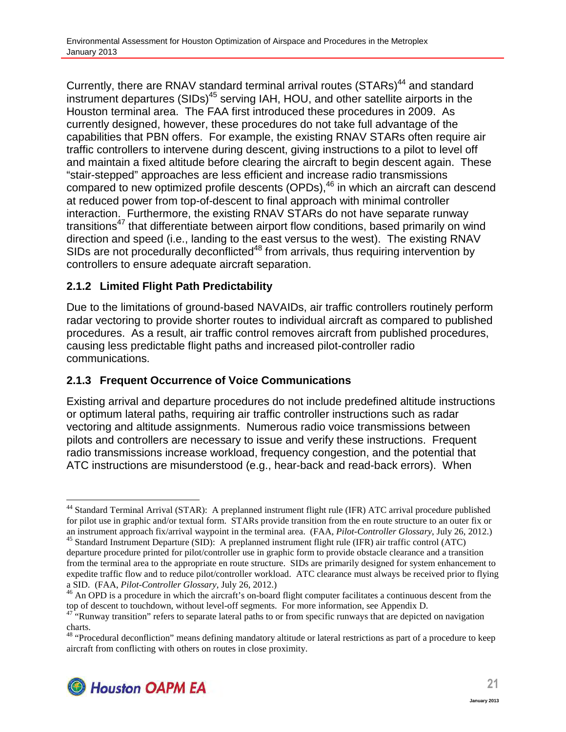Currently, there are RNAV standard terminal arrival routes (STARs)<sup>44</sup> and standard instrument departures (SIDs)<sup>45</sup> serving IAH, HOU, and other satellite airports in the Houston terminal area. The FAA first introduced these procedures in 2009. As currently designed, however, these procedures do not take full advantage of the capabilities that PBN offers. For example, the existing RNAV STARs often require air traffic controllers to intervene during descent, giving instructions to a pilot to level off and maintain a fixed altitude before clearing the aircraft to begin descent again. These "stair-stepped" approaches are less efficient and increase radio transmissions compared to new optimized profile descents (OPDs),<sup>46</sup> in which an aircraft can descend at reduced power from top-of-descent to final approach with minimal controller interaction. Furthermore, the existing RNAV STARs do not have separate runway transitions<sup>47</sup> that differentiate between airport flow conditions, based primarily on wind direction and speed (i.e., landing to the east versus to the west). The existing RNAV SIDs are not procedurally deconflicted<sup>48</sup> from arrivals, thus requiring intervention by controllers to ensure adequate aircraft separation.

### **2.1.2 Limited Flight Path Predictability**

Due to the limitations of ground-based NAVAIDs, air traffic controllers routinely perform radar vectoring to provide shorter routes to individual aircraft as compared to published procedures. As a result, air traffic control removes aircraft from published procedures, causing less predictable flight paths and increased pilot-controller radio communications.

### **2.1.3 Frequent Occurrence of Voice Communications**

Existing arrival and departure procedures do not include predefined altitude instructions or optimum lateral paths, requiring air traffic controller instructions such as radar vectoring and altitude assignments. Numerous radio voice transmissions between pilots and controllers are necessary to issue and verify these instructions. Frequent radio transmissions increase workload, frequency congestion, and the potential that ATC instructions are misunderstood (e.g., hear-back and read-back errors). When

<sup>&</sup>lt;sup>48</sup> "Procedural deconfliction" means defining mandatory altitude or lateral restrictions as part of a procedure to keep aircraft from conflicting with others on routes in close proximity.



<sup>&</sup>lt;sup>44</sup> Standard Terminal Arrival (STAR): A preplanned instrument flight rule (IFR) ATC arrival procedure published for pilot use in graphic and/or textual form. STARs provide transition from the en route structure to an outer fix or an instrument approach fix/arrival waypoint in the terminal area. (FAA, *Pilot-Controller Glossary*, July 26, 2012.)

<sup>45</sup> Standard Instrument Departure (SID): A preplanned instrument flight rule (IFR) air traffic control (ATC) departure procedure printed for pilot/controller use in graphic form to provide obstacle clearance and a transition from the terminal area to the appropriate en route structure. SIDs are primarily designed for system enhancement to expedite traffic flow and to reduce pilot/controller workload. ATC clearance must always be received prior to flying a SID. (FAA, *Pilot-Controller Glossary,* July 26, 2012.)

<sup>&</sup>lt;sup>46</sup> An OPD is a procedure in which the aircraft's on-board flight computer facilitates a continuous descent from the top of descent to touchdown, without level-off segments. For more information, see Appendix D.

 $47$  "Runway transition" refers to separate lateral paths to or from specific runways that are depicted on navigation charts.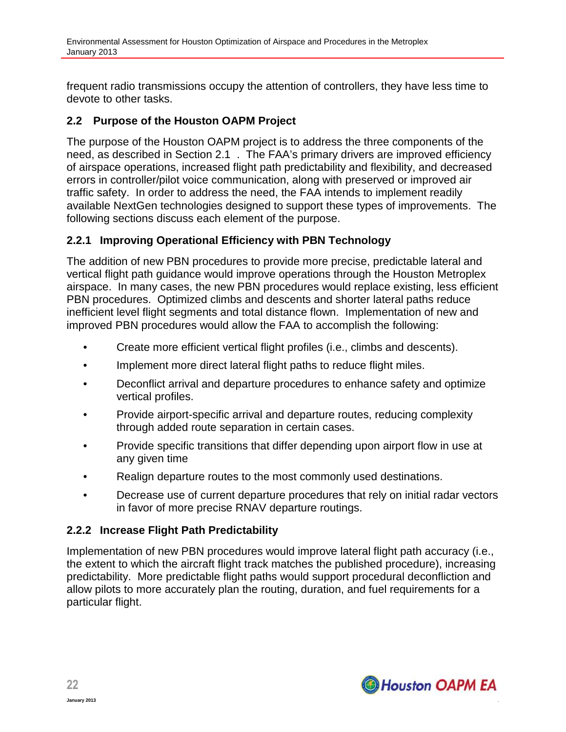frequent radio transmissions occupy the attention of controllers, they have less time to devote to other tasks.

#### **2.2 Purpose of the Houston OAPM Project**

The purpose of the Houston OAPM project is to address the three components of the need, as described in Section 2.1 . The FAA's primary drivers are improved efficiency of airspace operations, increased flight path predictability and flexibility, and decreased errors in controller/pilot voice communication, along with preserved or improved air traffic safety. In order to address the need, the FAA intends to implement readily available NextGen technologies designed to support these types of improvements. The following sections discuss each element of the purpose.

#### **2.2.1 Improving Operational Efficiency with PBN Technology**

The addition of new PBN procedures to provide more precise, predictable lateral and vertical flight path guidance would improve operations through the Houston Metroplex airspace. In many cases, the new PBN procedures would replace existing, less efficient PBN procedures. Optimized climbs and descents and shorter lateral paths reduce inefficient level flight segments and total distance flown. Implementation of new and improved PBN procedures would allow the FAA to accomplish the following:

- Create more efficient vertical flight profiles (i.e., climbs and descents).
- Implement more direct lateral flight paths to reduce flight miles.
- Deconflict arrival and departure procedures to enhance safety and optimize vertical profiles.
- Provide airport-specific arrival and departure routes, reducing complexity through added route separation in certain cases.
- Provide specific transitions that differ depending upon airport flow in use at any given time
- Realign departure routes to the most commonly used destinations.
- Decrease use of current departure procedures that rely on initial radar vectors in favor of more precise RNAV departure routings.

#### **2.2.2 Increase Flight Path Predictability**

Implementation of new PBN procedures would improve lateral flight path accuracy (i.e., the extent to which the aircraft flight track matches the published procedure), increasing predictability. More predictable flight paths would support procedural deconfliction and allow pilots to more accurately plan the routing, duration, and fuel requirements for a particular flight.

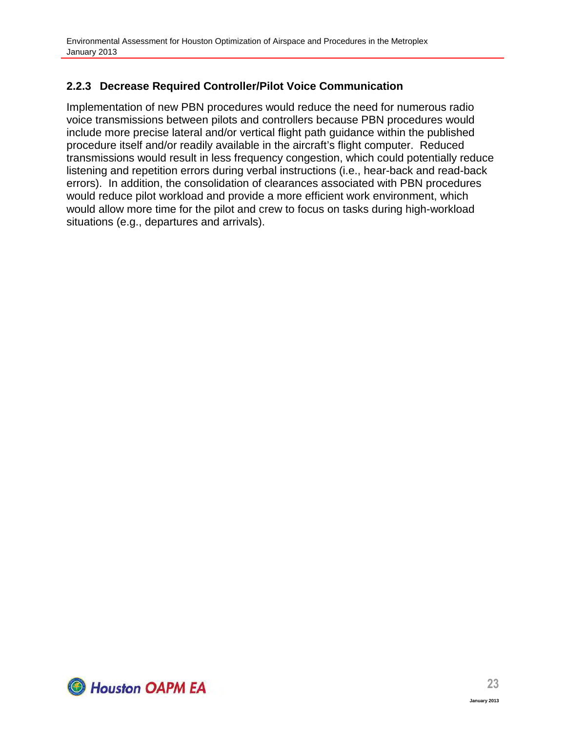# **2.2.3 Decrease Required Controller/Pilot Voice Communication**

Implementation of new PBN procedures would reduce the need for numerous radio voice transmissions between pilots and controllers because PBN procedures would include more precise lateral and/or vertical flight path guidance within the published procedure itself and/or readily available in the aircraft's flight computer. Reduced transmissions would result in less frequency congestion, which could potentially reduce listening and repetition errors during verbal instructions (i.e., hear-back and read-back errors). In addition, the consolidation of clearances associated with PBN procedures would reduce pilot workload and provide a more efficient work environment, which would allow more time for the pilot and crew to focus on tasks during high-workload situations (e.g., departures and arrivals).